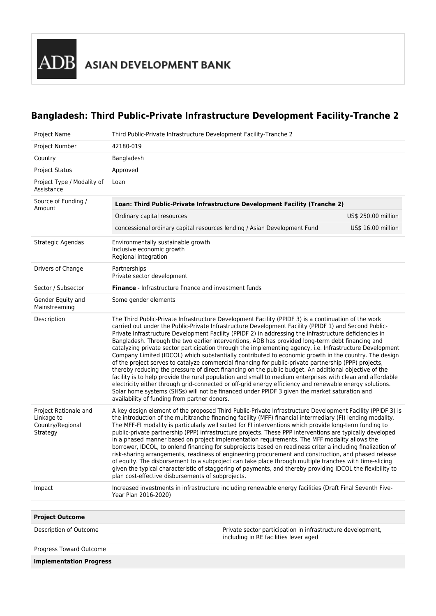## **Bangladesh: Third Public-Private Infrastructure Development Facility-Tranche 2**

| <b>Project Name</b>                                                 | Third Public-Private Infrastructure Development Facility-Tranche 2                                                                                                                                                                                                                                                                                                                                                                                                                                                                                                                                                                                                                                                                                                                                                                                                                                                                                                                                                                                                                                                                                                                                                                           |                                                                                                          |                     |
|---------------------------------------------------------------------|----------------------------------------------------------------------------------------------------------------------------------------------------------------------------------------------------------------------------------------------------------------------------------------------------------------------------------------------------------------------------------------------------------------------------------------------------------------------------------------------------------------------------------------------------------------------------------------------------------------------------------------------------------------------------------------------------------------------------------------------------------------------------------------------------------------------------------------------------------------------------------------------------------------------------------------------------------------------------------------------------------------------------------------------------------------------------------------------------------------------------------------------------------------------------------------------------------------------------------------------|----------------------------------------------------------------------------------------------------------|---------------------|
| Project Number                                                      | 42180-019                                                                                                                                                                                                                                                                                                                                                                                                                                                                                                                                                                                                                                                                                                                                                                                                                                                                                                                                                                                                                                                                                                                                                                                                                                    |                                                                                                          |                     |
| Country                                                             | Bangladesh                                                                                                                                                                                                                                                                                                                                                                                                                                                                                                                                                                                                                                                                                                                                                                                                                                                                                                                                                                                                                                                                                                                                                                                                                                   |                                                                                                          |                     |
| <b>Project Status</b>                                               | Approved                                                                                                                                                                                                                                                                                                                                                                                                                                                                                                                                                                                                                                                                                                                                                                                                                                                                                                                                                                                                                                                                                                                                                                                                                                     |                                                                                                          |                     |
| Project Type / Modality of<br>Assistance                            | Loan                                                                                                                                                                                                                                                                                                                                                                                                                                                                                                                                                                                                                                                                                                                                                                                                                                                                                                                                                                                                                                                                                                                                                                                                                                         |                                                                                                          |                     |
| Source of Funding /<br>Amount                                       | Loan: Third Public-Private Infrastructure Development Facility (Tranche 2)                                                                                                                                                                                                                                                                                                                                                                                                                                                                                                                                                                                                                                                                                                                                                                                                                                                                                                                                                                                                                                                                                                                                                                   |                                                                                                          |                     |
|                                                                     | Ordinary capital resources                                                                                                                                                                                                                                                                                                                                                                                                                                                                                                                                                                                                                                                                                                                                                                                                                                                                                                                                                                                                                                                                                                                                                                                                                   |                                                                                                          | US\$ 250.00 million |
|                                                                     | concessional ordinary capital resources lending / Asian Development Fund                                                                                                                                                                                                                                                                                                                                                                                                                                                                                                                                                                                                                                                                                                                                                                                                                                                                                                                                                                                                                                                                                                                                                                     |                                                                                                          | US\$ 16.00 million  |
| Strategic Agendas                                                   | Environmentally sustainable growth<br>Inclusive economic growth<br>Regional integration                                                                                                                                                                                                                                                                                                                                                                                                                                                                                                                                                                                                                                                                                                                                                                                                                                                                                                                                                                                                                                                                                                                                                      |                                                                                                          |                     |
| Drivers of Change                                                   | Partnerships<br>Private sector development                                                                                                                                                                                                                                                                                                                                                                                                                                                                                                                                                                                                                                                                                                                                                                                                                                                                                                                                                                                                                                                                                                                                                                                                   |                                                                                                          |                     |
| Sector / Subsector                                                  | <b>Finance</b> - Infrastructure finance and investment funds                                                                                                                                                                                                                                                                                                                                                                                                                                                                                                                                                                                                                                                                                                                                                                                                                                                                                                                                                                                                                                                                                                                                                                                 |                                                                                                          |                     |
| Gender Equity and<br>Mainstreaming                                  | Some gender elements                                                                                                                                                                                                                                                                                                                                                                                                                                                                                                                                                                                                                                                                                                                                                                                                                                                                                                                                                                                                                                                                                                                                                                                                                         |                                                                                                          |                     |
| Description                                                         | The Third Public-Private Infrastructure Development Facility (PPIDF 3) is a continuation of the work<br>carried out under the Public-Private Infrastructure Development Facility (PPIDF 1) and Second Public-<br>Private Infrastructure Development Facility (PPIDF 2) in addressing the infrastructure deficiencies in<br>Bangladesh. Through the two earlier interventions, ADB has provided long-term debt financing and<br>catalyzing private sector participation through the implementing agency, i.e. Infrastructure Development<br>Company Limited (IDCOL) which substantially contributed to economic growth in the country. The design<br>of the project serves to catalyze commercial financing for public-private partnership (PPP) projects,<br>thereby reducing the pressure of direct financing on the public budget. An additional objective of the<br>facility is to help provide the rural population and small to medium enterprises with clean and affordable<br>electricity either through grid-connected or off-grid energy efficiency and renewable energy solutions.<br>Solar home systems (SHSs) will not be financed under PPIDF 3 given the market saturation and<br>availability of funding from partner donors. |                                                                                                          |                     |
| Project Rationale and<br>Linkage to<br>Country/Regional<br>Strategy | A key design element of the proposed Third Public-Private Infrastructure Development Facility (PPIDF 3) is<br>the introduction of the multitranche financing facility (MFF) financial intermediary (FI) lending modality.<br>The MFF-FI modality is particularly well suited for FI interventions which provide long-term funding to<br>public-private partnership (PPP) infrastructure projects. These PPP interventions are typically developed<br>in a phased manner based on project implementation requirements. The MFF modality allows the<br>borrower, IDCOL, to onlend financing for subprojects based on readiness criteria including finalization of<br>risk-sharing arrangements, readiness of engineering procurement and construction, and phased release<br>of equity. The disbursement to a subproject can take place through multiple tranches with time-slicing<br>given the typical characteristic of staggering of payments, and thereby providing IDCOL the flexibility to<br>plan cost-effective disbursements of subprojects.                                                                                                                                                                                         |                                                                                                          |                     |
| Impact                                                              | Year Plan 2016-2020)                                                                                                                                                                                                                                                                                                                                                                                                                                                                                                                                                                                                                                                                                                                                                                                                                                                                                                                                                                                                                                                                                                                                                                                                                         | Increased investments in infrastructure including renewable energy facilities (Draft Final Seventh Five- |                     |
|                                                                     |                                                                                                                                                                                                                                                                                                                                                                                                                                                                                                                                                                                                                                                                                                                                                                                                                                                                                                                                                                                                                                                                                                                                                                                                                                              |                                                                                                          |                     |
| <b>Project Outcome</b>                                              |                                                                                                                                                                                                                                                                                                                                                                                                                                                                                                                                                                                                                                                                                                                                                                                                                                                                                                                                                                                                                                                                                                                                                                                                                                              |                                                                                                          |                     |
| Description of Outcome                                              |                                                                                                                                                                                                                                                                                                                                                                                                                                                                                                                                                                                                                                                                                                                                                                                                                                                                                                                                                                                                                                                                                                                                                                                                                                              | Private sector participation in infrastructure development,<br>including in RE facilities lever aged     |                     |
| Progress Toward Outcome                                             |                                                                                                                                                                                                                                                                                                                                                                                                                                                                                                                                                                                                                                                                                                                                                                                                                                                                                                                                                                                                                                                                                                                                                                                                                                              |                                                                                                          |                     |
| <b>Implementation Progress</b>                                      |                                                                                                                                                                                                                                                                                                                                                                                                                                                                                                                                                                                                                                                                                                                                                                                                                                                                                                                                                                                                                                                                                                                                                                                                                                              |                                                                                                          |                     |
|                                                                     |                                                                                                                                                                                                                                                                                                                                                                                                                                                                                                                                                                                                                                                                                                                                                                                                                                                                                                                                                                                                                                                                                                                                                                                                                                              |                                                                                                          |                     |